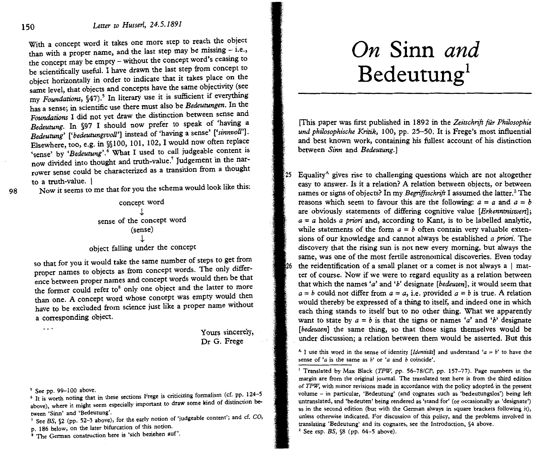With a concept word it takes one more step to reach the object than with a proper name, and the last step may be missing - i.e., the concept may be empty - without the concept word's ceasing to be scientifically useful. I have drawn the last step from concept to object horizontally in order to indicate that it takes place on the same level, that objects and concepts have the same objectivity (see my Foundations, §47).<sup>5</sup> In literary use it is sufficient if everything has a sense; in scientific use there must also be Bedeutungen. In the Foundations I did not yet draw the distinction between sense and Bedeutung. In §97 I should now prefer to speak of 'having a Bedeutung' ['bedeutungsvoll'] instead of 'having a sense' ['sinnvoll']. Elsewhere, too, e.g. in  $$100, 101, 102, I$  would now often replace 'sense' by 'Bedeutung'.<sup>6</sup> What I used to call judgeable content is now divided into thought and truth-value.' Judgement in the narrower sense could be characterized as a transition from a thought to a truth-value. <sup>1</sup> 98 Now it seems to me that for you the schema would look like this:

# concept word L sense of the concept word (sense)  $\downarrow$

object falling under the concept

so that for you it would take the same number of steps to get from proper names to objects as fiom concept words. The only difference between proper names and concept words would then be that the former could refer to<sup>8</sup> only one object and the latter to more than one. A concept word whose concept was empty would then have to be excluded from science just like a proper name without a corresponding object.

> Yours sincerely, Dr G. Frege

<sup>5</sup> See pp. 99-100 above.

 $\ldots$ 

# On Sinn and Bedeutung'

[This paper was first published in 1892 in the Zeitschrift für Philosophie und philosophische Kritik, 100, pp. 25-50. It is Frege's most influential and best known work, containing his fullest account of his distinction between Sinn and Bedeutung.]

25 Equality<sup>A</sup> gives rise to challenging questions which are not altogether easy to answer. Is it a relation? A relation between objects, or between names or signs of objects? In my Begriffsschrift I assumed the latter.<sup>2</sup> The reasons which seem to favour this are the following:  $a = a$  and  $a = b$ are obviously statements of differing cognitive value [Erkenntniswert];  $a = a$  holds a priori and, according to Kant, is to be labelled analytic, while statements of the form  $a = b$  often contain very valuable extensions of our knowledge and cannot always be established a priori. The discovery that the rising sun is not new every morning, but always the same, was one of the most fertile astronomical discoveries. Even today the reidentification of a small planet or a comet is not always a  $|$  mat-126 ter of course. Now if we were to regard equality as a relation between that which the names 'a' and 'b' designate [bedeuten], it would seem that  $a = b$  could not differ from  $a = a$ , i.e. provided  $a = b$  is true. A relation would thereby be expressed of a thing to itself, and indeed one in which each thing stands to itself but to no other thing. What we apparently want to state by  $a = b$  is that the signs or names 'a' and 'b' designate [bedeuten] the same thing, so that those signs themselves would be under discussion; a relation between them would be asserted. But this

 $\Lambda$  I use this word in the sense of identity *[Identität]* and understand ' $a = b$ ' to have the sense of 'a is the same as  $b'$  or 'a and b coincide'.

 $6$  It is worth noting that in these sections Frege is criticizing formalism (cf. pp. 124-5) above), where it might seem especially important to draw some kind of distinction between 'Sinn' and 'Bedeutung'.

<sup>&#</sup>x27; See *BS,* **\$2** (pp. 52-3 above), for the early notion of 'judgeable content'; and cf. CO, p. 186 below, on the later bifurcation of this notion.

The German construction here is 'sich beziehen auf'.

<sup>&#</sup>x27; Translated by Max Black (TPW, pp. 56-78/CP, pp. 157-77). Page numbers in the margin are from the original journal. The translated text here is from the third edition of TPW, with minor revisions made in accordance with the policy adopted in the present volume - in particular, 'Bedeutung' (and cognates such as 'bedeutungslos') being left untranslated, and 'bedeuten' being rendered as 'stand for' (or occasionally as 'designate') as in the second edition (but with the German always in square brackets following it), unless otherwise indicated. For discussion of this policy, and the problems involved in translating 'Bedeutung' and its cognates, see the Introduction, \$4 above.  $2$  See esp. *BS*,  $$8$  (pp. 64-5 above).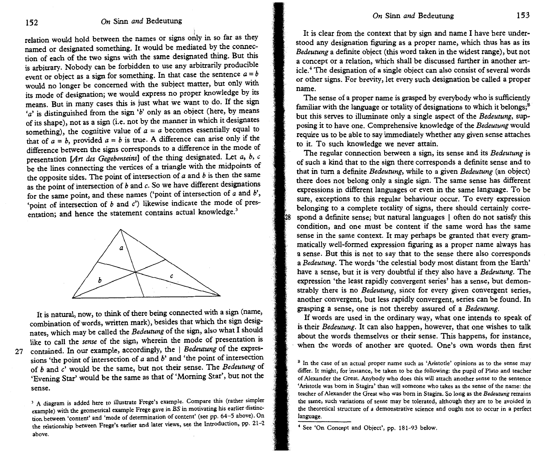relation would hold between the names or signs ohy in so far as they named or designated something. It would be mediated by the connection of each of the two signs with the same designated thing. But this is arbitrary. Nobody can be forbidden to use any arbitrarily producible event or object as a sign for something. In that case the sentence  $a = b$ would no longer be concerned with the subject matter, but only with its mode of designation; we would express no proper knowledge by its means. But in many cases this is just what we want to do. If the sign 'a' is distinguished from the sign 'b' only as an object (here, by means of its shape), not as a sign (i.e. not by the manner in which it designates something), the cognitive value of  $a = a$  becomes essentially equal to that of  $a = b$ , provided  $a = b$  is true. A difference can arise only if the difference between the signs corresponds to a difference in the mode of presentation [Art des Gegebenseins] of the thing designated. Let a, b, c be the lines connecting the vertices of a triangle with the midpoints of the opposite sides. The point of intersection of  $a$  and  $b$  is then the same as the point of intersection of  $b$  and  $c$ . So we have different designations for the same point, and these names ('point of intersection of  $a$  and  $b'$ , 'point of intersection of  $b$  and  $c$ ') likewise indicate the mode of presentation; and hence the statement contains actual knowledge.<sup>3</sup>



It is natural, now, to **think** of there being connected with a sign (name, combination of words, written mark), besides that which the sign designates, which may be called the Bedeutung of the sign, also what I should like to call the sense of the sign, wherein the mode of presentation is 27 contained. In our example, accordingly, the | Bedeutung of the expressions 'the point of intersection of a and **b'** and 'the point of intersection of  $b$  and  $c'$  would be the same, but not their sense. The Bedeutung of 'Evening Star' would be the same as that of 'Morning Star', but not the sense.

It is clear from the context that by sign and name I have here understood any designation figuring as a proper name, which thus has as its Bedeutung a definite object (this word taken in the widest range), but not a concept or a relation, which shall be discussed further in another article.\* The designation of a single object can also consist of several words or other signs. For brevity, let every such designation be called a proper name.

The sense of a proper name is grasped by everybody who is sufficiently familiar with the language or totality of designations to which it belongs;<sup>8</sup> but this serves to illuminate only a single aspect of the Bedeutung, supposing it to have one. Comprehensive knowledge of the Bedeutung would require us to be able to say immediately whether any given sense attaches to it. To such knowledge we never attain.

The regular connection between a sign, its sense and its Bedeutung is of such a kind that to the sign there corresponds a definite sense and to that in turn a definite Bedeutung, while to a given Bedeutung (an object) there does not belong only a single sign. The same sense has different expressions in different languages or even in the same language. To be sure, exceptions to this regular behaviour occur. To every expression belonging to a complete totality of signs, there should certainly corre-28 spond a definite sense; but natural languages I often do not satisfy this condition, and one must be content if the same word has the same sense in the same context. It may perhaps be granted that every grammatically well-formed expression figuring as a proper name always has a sense. But this is not to say that to the sense there also corresponds a Bedeutung. The words 'the celestial body most distant from the Earth' have a sense, but it is very doubtful if they also have a Bedeutung. The expression 'the least rapidly convergent series' has a sense, but demonstrably there is no Bedeutung, since for every given convergent series, another convergent, but less rapidly convergent, series can be found. In grasping a sense, one is not thereby assured of a Bedeutung.

If words are used in the ordinary way, what one intends to speak of is their Bedeutung. It can also happen, however, that one wishes to talk about the words themselves or their sense. This happens, for instance, when the words of another are quoted. One's own words then first

**In the case of an actual proper name such as 'Aristotle' opinions as to the sense may differ. It might, for instance, be taken to be the following: the pupil of Plato and teacher of Alexander the Great. Anybody who does this will attach another sense to the sentence 'Aristotle was born in Stagira' than will someone who takes as the sense of the name: the teacher of Alexander the Great who was born in Stagira. So long as the Bedeutung remalns the same, such variations of sense may be tolerated, although they are to be avoided in the theoretical structure of a demonstrative science and ought not to occur in a perfect language.** 

<sup>&</sup>lt;sup>3</sup> A diagram is added here to illustrate Frege's example. Compare this (rather simpler **example) with the geometrical example Frege gave in BS in motivating his earlier distinction between 'content' and 'mode of determination of content' (see pp. 64-5 above). On the relationship between Frege's earlier and later views, see the Introduction, pp. 21-2 above.** 

<sup>&</sup>lt;sup>4</sup> See 'On Concept and Object', pp. 181-93 below.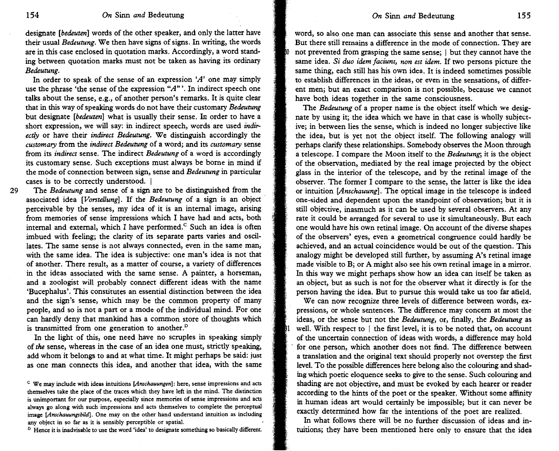designate *[bedeuten]* words of the other speaker, and only the latter have their usual *Bedeutung.* We then have signs of signs. In writing, the words are in this case enclosed in quotation marks. Accordingly, a word standing between quotation marks must not be taken as having its ordinary *Bedeutung.* 

In order to speak of the sense of an expression *'A'* one may simply use the phrase 'the sense of the expression *"A"* '. In indirect speech one talks about the sense, e.g., of another person's remarks. It is quite clear that in this way of speaking words do not have their customary *Bedactung*  but designate *[bedeuten]* what is usually their sense. In order to have a short expression, we will say: in indirect speech, words are used *indirectly* or have their *indirect Bedeutung.* We distinguish accordingly the *customary* from the *indirect Bedeutung* of a word; and its *customary* sense from its *indirect* sense. The indirect *Bedeutung* of a word is accordingly its customary sense. Such exceptions must always be borne in mind if the mode of connection between sign, sense and *Bedeutung* in particular cases is to be correctly understood. I

**29** The *Bedeutung* and sense of a sign are to be distinguished from the associated idea *[VorsteUung].* If the *Bedeutung* of a sign is an object perceivable by the senses, my idea of it is an internal image, arising from memories of sense impressions which I have had and acts, both internal and external, which I have performed.<sup>C</sup> Such an idea is often imbued with feeling; the clarity of its separate parts varies and oscillates. The same sense is not always connected, even in the same man, with the same idea. The idea is subjective: one man's idea is not that of another. There result, as a matter of course, a variety of differences in the ideas associated with the same sense. A painter, a horseman, and a zoologist will probably connect different ideas with the name 'Bucephalus'. This constitutes an essential distinction between the idea and the sign's sense, which may be the common property of many people, and so is not a part or a mode of the individual mind. For one can hardly deny that mankind has a common store of thoughts which is transmitted from one generation to another.<sup>D</sup>

In the light of this, one need have no scruples in speaking simply of *the* sense, whereas in the case of an idea one must, strictly speaking, add whom it belongs to and at what time. It might perhaps be said: just as one man connects this idea, and another that idea, with the same

**Hence it is inadvisable to use the word 'idea' to designate something so basically different.** 

word, so also one man can associate this sense and another that sense. But there still remains a difference in the mode of connection. They are not prevented from grasping the same sense; I but they cannot have the same idea. Si *duo idem faciunt, non est idem.* If two persons picture the same thing, each still has his own idea. It is indeed sometimes possible to establish differences in the ideas, or even in the sensations, of different men; but an exact comparison is not possible, because we cannot have both ideas together in the same consciousness.

ħΩ.

81

The *Bedeutung* of a proper name is the object itself which we designate by using it; the idea which we have in that case is wholly subjective; in between lies the sense, which is indeed no longer subjective like the idea, but is yet not the object itself. The following analogy will perhaps clanfy these relationships. Somebody observes the Moon through a telescope. I compare the Moon itself to the *Bedeutung,* it is the object of the observation, mediated by the real image projected by the object glass in the interior of the telescope, and by the retinal image of the observer. The former I compare to the sense, the latter is like the idea or intuition *[Anschauung].* The optical image in the telescope is indeed one-sided and dependent upon the standpoint of observation; but it is still objective, inasmuch as it can be used by several observers. At any rate it could be arranged for several to use it simultaneously. But each one would have his own retinal image. On account of the diverse shapes of the observers' eyes, even a geometrical congruence could hardly be achieved, and an actual coincidence would be out of the question. This analogy might be developed still further, by assuming A's retinal image made visible to B; or A might also see his own retinal image in a mirror. In this way we might perhaps show how an idea can itself be taken as an object, but as such is not for the observer what it directly is for the person having the idea. But to pursue this would take us too far afield.

We can now recognize three levels of difference between words, expressions, or whole sentences. The difference may concern at most the ideas, or the sense but not the *Bedeutung,* or, finally, the *Bedeutung* as well. With respect to  $\parallel$  the first level, it is to be noted that, on account of the uncertain connection of ideas with words, a difference may hold for one person, which another does not find. The difference between a translation and the original text should properly not overstep the first level. To the possible differences here belong also the colouring and shading which poetic eloquence seeks to give to the sense. Such colouring and shading are not objective, and must be evoked by each hearer or reader according to the hints of the poet or the speaker. Without some affinity in human ideas art would certainly be impossible; but it can never be exactly determined how far the intentions of the poet are realized.

In what follows there will be no further discussion of ideas and intuitions; they have been mentioned here only to ensure that the idea

**We may include with ideas intuitions** *[Anrchauungen]:* **here, sense impressions and acts themselves take the place of the traces which they have left in the mind. The distinction is unimportant for our purpose, especially since memories of sense impressions and acts always go along with such impressions and acts themselves to complete the perceptual image** *[Anschauungsbild].* **One may on the other hand understand intuition as including any object in so far as it is sensibly perceptible or spatial.**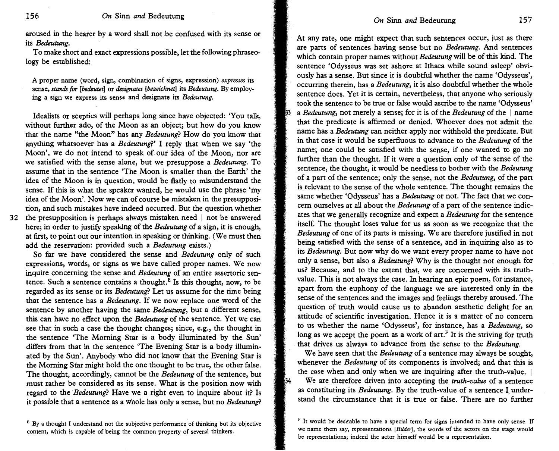aroused in the hearer by a word shall not be confused with its sense or its Bedeutung.

To make short and exact expressions possible, let the following phraseology be established:

A proper name (word, sign, combination of signs, expression) expresses its sense, *stands for* [bedeutet] or designates [bezeichnet] its Bedeutung. By employing a sign we express its sense and designate its Bedeutung.

Idealists or sceptics will perhaps long since have objected: 'You talk, without further ado, of the Moon as an object; but how do you know that the name "the Moon'' has any Bedeutung? How do you know that anything whatsoever has a Bedeutung?' I reply that when we say 'the Moon', we do not intend to speak of our idea of the Moon, nor are we satisfied with the sense alone, but we presuppose a Bedeutung. To assume that in the sentence 'The Moon is smaller than the Earth' the idea of the Moon is in question, would be flatly to misunderstand the sense. If this is what the speaker wanted, he would use the phrase 'my idea of the Moon'. Now we can of course be mistaken in the presupposition, and such mistakes have indeed occurred. But the question whether

32 the presupposition is perhaps always mistaken need I not be answered here; in order to justify speaking of the Bedeutung of a sign, it is enough, at first, to point out our intention in speaking or thinking. (We must then add the reservation: provided such a Bedeutung exists.)

So far we have considered the sense and Bedeutung only of such expressions, words, or signs as we have called proper names. We now inquire concerning the sense and Bedeutung of an entire assertoric sentence. Such a sentence contains a thought.<sup>E</sup> Is this thought, now, to be regarded as its sense or its Bedeutung? Let us assame for the time being that the sentence has a Bedeutung. If we now replace one word of the sentence by another having the same Bedeutung, but a different sense, this can have no effect upon the Bedeutung of the sentence. Yet we can see that in such a case the thought changes; since, e.g., the thought in the sentence 'The Morning Star is a body illuminated by the Sun' differs from that in the sentence 'The Evening Star is a body illuminated by the Sun'. Anybody who did not know that the Evening Star is the Morning Star might hold the one thought to be true, the other false. The thought, accordingly, cannot be the Bedeutung of the sentence, but must rather be considered as its sense. What is the position now with regard to the Bedeutung? Have we a right even to inquire about it? Is it possible that a sentence as a whole has only a sense, but no Bedeutung?

**By a thought I understand not the subjective performance of thinking but its objective content, which is capable of being the common property of several thinkers.** 

At any rate, one might expect that such sentences occur, just as there are parts of sentences having sense but no Bedeutung. And sentences which contain proper names without Bedeutung will be of this kind. The sentence 'Odysseus was set ashore at Ithaca while sound asleep' obviously has a sense. But since it is doubtful whether the name 'Odysseus', occurring therein, has a Bedeutung, it is also doubtful whether the whole sentence does. Yet it is certain, nevertheless, that anyone who seriously took the sentence to be true or false would ascribe to the name 'Odysseus'  $33$  a Bedeutung, not merely a sense; for it is of the Bedeutung of the  $\vert$  name that the predicate is affirmed or denied. Whoever does not admit the name has a Bedeutung can neither apply nor withhold the predicate. But in that case it would be superfluous to advance to the Bedeutung of the name; one could be satisfied with the sense, if one wanted to go no further than the thought. If it were a question only of the sense of the sentence, the thought, it would be needless to bother with the Bedeutung of a part of the sentence; only the sense, not the Bedeutung, of the part is relevant to the sense of the whole sentence. The thought remains the same whether 'Odysseus' has a Bedeutung or not. The fact that we concern ourselves at all about the Bedeutung of a part of the sentence indicates that we generally recognize and expect a Bedeutung for the sentence itself. The thought loses value for us as soon as we recognize that the Bedeutung of one of its parts is missing. We are therefore justified in not being satisfied with the sense of a sentence, and in inquiring also as to its Bedeutung. But now why do we want every proper name to have not only a sense, but also a Bedeutung? Why is the thought not enough for us? Because, and to the extent that, we are concerned with its truthvalue. This is not always the case. In hearing an epic poem, for instance, apart from the euphony of the language we are interested only in the sense of the sentences and the images and feelings thereby aroused. The question of truth would cause us to abandon aesthetic delight for an attitude of scientific investigation. Hence it is a matter of no concern to us whether the name 'Odysseus', for instance, has a Bedeutung, so long as we accept the poem as a work of  $art<sup>F</sup>$  It is the striving for truth that drives us always to advance from the sense to the Bedeutung.

We have seen that the *Bedeutung* of a sentence may always be sought, whenever the Bedeutung of its components is involved; and that this is the case when and only when we are inquiring after the truth-value. |

<sup>34</sup> We are therefore driven into accepting the *truth-value* of a sentence as constituting its Bedeutung. By the truth-value of a sentence I understand the circumstance that it is true or false. There are no further

<sup>&</sup>lt;sup>F</sup> It would be desirable to have a special term for signs intended to have only sense. If **we name them say, representations** *[BiMer],* **the words of the actors on the stage would be representations; indeed the actor himself would be a representation.**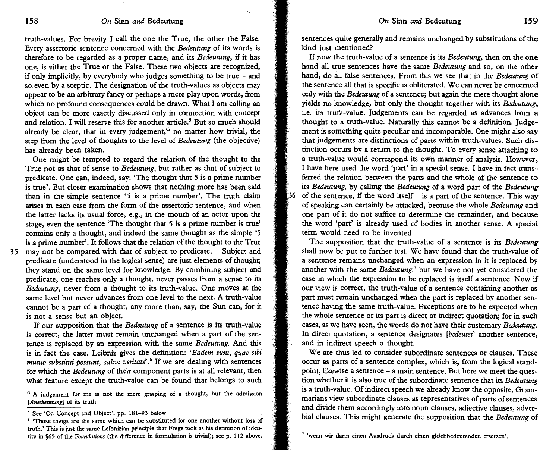truth-values. For brevity I call the one the True, the other the False. Every assertoric sentence concerned with the Bedeutung of its words is therefore to be regarded as a proper name, and its Bedeutung, if it has one, is either the True or the False. These two objects are recognized, if only implicitly, by everybody who judges something to be true - and so even by a sceptic. The designation of the truth-values as objects may appear to be an arbitrary fancy or perhaps a mere play upon words, from which no profound consequences could be drawn. What I am calling an object can be more exactly discussed only in connection with concept and relation. I will reserve this for another article.<sup>5</sup> But so much should already be clear, that in every judgement,<sup>G</sup> no matter how trivial, the step from the level of thoughts to the level of Bedeutung (the objective) has already been taken.

One might be tempted to regard the relation of the thought to the True not as that of sense to Bedeutung, but rather as that of subject to predicate. One can, indeed, say: 'The thought that 5 is a prime number is true'. But closer examination shows that nothing more has been said than in the simple sentence '5 is a prime number'. The truth claim arises in each case from the form of the assertoric sentence, and when the latter lacks its usual force, e.g., in the mouth of an actor upon the stage, even the sentence 'The thought that 5 is a prime number is true' contains only a thought, and indeed the same thought as the simple '5 is a prime number'. It follows that the relation of the thought to the True

35 may not be compared with that of subject to predicate. I Subject and predicate (understood in the logical sense) are just elements of thought; they stand on the same level for knowledge. By combining subject and predicate, one reaches only a thought, never passes from a sense to its Bedeutung, never from a thought to its truth-value. One moves at the same level but never advances from one level to the next. A truth-value cannot be a part of a thought, any more than, say, the Sun can, for it is not a sense but an object.

If our supposition that the Bedeutung of a sentence is its truth-value is correct, the latter must remain unchanged when a part of the sentence is replaced by an expression with the same Bedeutung. And this is in fact the case. Leibniz gives the definition: 'Eadem sunt, quae sibi mutuo substitui possunt, salva veritate'. $6$  If we are dealing with sentences for which the Bedeutung of their component parts is at all relevant, then what feature except the truth-value can be found that belongs to such

**A judgement for me is not the mere grasping of a thought, but the admission [Anerkennung] of its truth.** 

sentences quite generally and remains unchanged by substitutions of the kind just mentioned?

If now the truth-value of a sentence is its Bedeutung, then on the one hand all true sentences have the same Bedeutung and so, on the other hand, do all false sentences. From this we see that in the Bedeutung of the sentence all that is specific is obliterated. We can never be concerned only with the Bedeutung of a sentence; but again the mere thought alone yields no knowledge, but only the thought together with its Bedeutung, i.e. its truth-value. Judgements can be regarded as advances from a thought to a truth-value. Naturally this cannot be a definition. Judgement is something quite peculiar and incomparable. One might also say that judgements are distinctions of parts within truth-values. Such distinction occurs by a return to the thought. To every sense attaching to a truth-value would correspond its own manner of analysis. However, I have here used the word 'part' in a special sense. I have in fact transferred the relation between the pans and the whole of the sentence to its Bedeutung, by calling the Bedeutung of a word part of the Bedeutung  $6.36$  of the sentence, if the word itself  $\vert$  is a part of the sentence. This way of speaking can certainly be attacked, because the whole Bedeutung and one part of it do not suffice to determine the remainder, and because the word 'part' is already used of bodies in another sense. A special term would need to be invented.

The supposition that the truth-value of a sentence is its Bedeutung shall now be put to further test. We have found that the truth-value of a sentence remains unchanged when an expression in it is replaced by another with the same  $Bedeutung:$ <sup>7</sup> but we have not yet considered the case in which the expression to be replaced is itself a sentence. Now if our view is correct, the truth-value of a sentence containing another as part must remain unchanged when the part is replaced by another sentence having the same truth-value. Exceptions are to be expected when the whole sentence or its part is direct or indirect quotation; for in such cases, as we have seen, the words do not have their customary Bedeutung. In direct quotation, a sentence designates [bedeutet] another sentence, and in indirect speech a thought.

We are thus led to consider subordinate sentences or clauses. These occur as parts of a sentence complex, which is, from the logical standpoint, likewise a sentence - a main sentence. But here we meet the question whether it is also true of the subordinate sentence that its Bedeutung is a truth-value. Of indirect speech we already know the opposite. Grammarians view subordinate clauses as representatives of parts of sentences and divide them accordingly into noun clauses, adjective clauses, adverbial clauses. This might generate the supposition that the Bedeutung of

<sup>&#</sup>x27; **See 'On Concept and Object', pp. 181-93 below.** 

**<sup>&#</sup>x27;Those things are the same which can be substituted for one another without loss of truth.' This is just the same Leibnizian principle that Frege took as his definition of iden**tity in §65 of the Foundations (the difference in formulation is trivial); see p. 112 above.

**<sup>&#</sup>x27;wenn wir darin einen Ausdruck durch einen gleichbedeutenden ersetzen'.**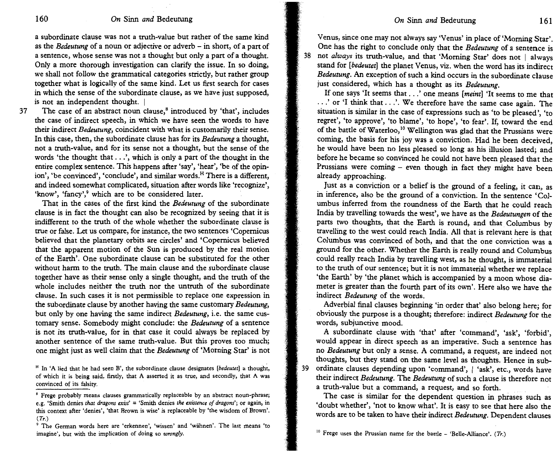a subordinate clause was not a truth-value but rather of the same kind as the Bedeutung of a noun or adjective or adverb  $-$  in short, of a part of a sentence, whose sense was not a thought but only a part of a thought. Only a more thorough investigation can clarify the issue. In so doing, we shall not follow the grammatical categories strictly, but rather group together what is logically of the same kind. Let us first search for cases in which the sense of the subordinate clause, as we have just supposed, is not an independent thought. |

37 The case of an abstract noun clause,<sup>8</sup> introduced by 'that', includes the case of indirect speech, in which we have seen the words to have their indirect Bedeutung, coincident with what is customarily their sense. In this case, then, the subordinate clause has for its Bedeutung a thought, not a truth-value, and for its sense not a thought, but the sense of the words 'the thought that. . .', which is only a part of the thought in the entire complex sentence. This happens after 'say', 'hear', 'be of the opinion', 'be convinced', 'conclude', and similar words.<sup>H</sup> There is a different, and indeed somewhat complicated, situation after words like 'recognize', 'know', 'fancy',<sup>9</sup> which are to be considered later.

That in the cases of the first kind the Bedeutung of the subordinate clause is in fact the thought can also be recognized by seeing that it is indifferent to the truth of the whole whether the subordinate clause is true or false. Let us compare, for instance, the two sentences 'Copernicus believed that the planetary orbits are circles' and 'Copernicus believed that the apparent motion of the Sun is produced by the real motion of the Earth'. One subordinate clause can be substituted for the other without harm to the truth. The main clause and the subordinate clause together have as their sense only a single thought, and the truth of the whole includes neither the truth nor the untruth of the subordinate clause. In such cases it is not permissible to replace one expression in the subordinate clause by another having the same customary Bedeutung, but only by one having the same indirect Bedeutung, i.e. the same customary sense. Somebody might conclude: the Bedeutung of a sentence is not its truth-value, for in that case it could always be replaced by another sentence of the same truth-value. But this proves too much; one might just as well claim that the Bedeutung of 'Morning Star' is not

" **In 'A lied that he had seen B', the subordinate clause designates** *[bedeutet]* **a thought, of which it is being said, firstly, that A asserted it as true, and secondly, that A was convinced of its falsity.** 

Venus, since one may not always say 'Venus' in place of 'Morning Star'. One has the right to conclude only that the Bedeutung of a sentence is **38** not always its truth-value, and that 'Morning Star' does not I always stand for [bedeutet] the planet Venus, viz. when the word has its indirect Bedeutung. An exception of such a kind occurs in the subordinate clause just considered, which has a thought as its Bedeutung.

If one says 'It seems that. . .' one means [meint] 'It seems to me that . . .' or 'I think that. . .'. We therefore have the same case again. The situation is similar in the case of expressions such as 'to be pleased', 'to regret', 'to approve', 'to blame', 'to hope', 'to fear'. If, toward the end of the battle of Waterloo,<sup>10</sup> Wellington was glad that the Prussians were coming, the basis for his joy was a conviction. Had he been deceived, he would have been no less pleased so long as his illusion lasted; and before he became so convinced he could not have been pleased that the Prussians were coming - even though in fact they might have been already approaching.

Just as a conviction or a belief is the ground of a feeling, it can, as in inference, also be the ground of a conviction. In the sentence 'Columbus inferred from the roundness of the Earth that he could reach India by travelling towards the west', we have as the Bedeutungen of the parts two thoughts, that the Earth is round, and that Columbus by travelling to the west could reach India. All that is relevant here is that Columbus was convinced of both, and that the one conviction was a ground for the other. Whether the Earth is really round and Columbus could really reach India by travelling west, as he thought, is immaterial to the truth of our sentence; but it is not immaterial whether we replace 'the Earth' by 'the planet which is accompanied by a moon whose diameter is greater than the fourth part of its own'. Here also we have the indirect Bedeutung of the words.

Adverbial final clauses beginning 'in order that' also belong here; for obviously the purpose is a thought; therefore: indirect Bedeutung for the words, subjunctive mood.

A subordinate clause with 'that' after 'command', 'ask', 'forbid', would appear in direct speech as an imperative. Such a sentence has no Bedeutung but only a sense. A command, a request, are indeed not thoughts, but they stand on the same level as thoughts. Hence in sub-39 ordinate clauses depending upon 'command', I 'ask', etc., words have their indirect Bedeutung. The Bedeutung of such a clause is therefore not a truth-value but a command, a request, and so forth.

The case is similar for the dependent question in phrases such as 'doubt whether', 'not to know what'. It is easy to see that here also the words are to be taken to have their indirect Bedeutung. Dependent clauses

**Frege probably means clauses grammatically replaceable by an abstract noun-phrase; e.g. 'Smith denies** *that dragons exist'* = **'Smith denies** *the existence* **of** *dragons';* **or again, in this context after 'denies', 'that Brown is wise' is replaceable by 'the wisdom of Brown'. (Tr.)** 

**The German words here are 'erkennen', 'wissen' and 'wahnen'. The last means 'to imagine', but with the implication of doing so** *wrongly.*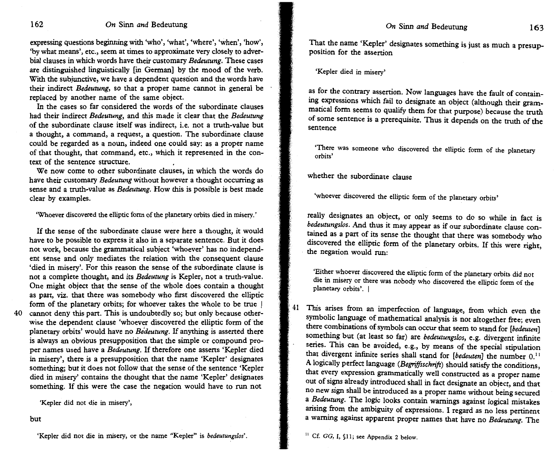expressing questions beginning with 'who', 'what', 'where', 'when', 'how', 'by what means', etc., seem at times to approximate very closely to adverbial clauses in which words have their customary Bedeutung. These cases are distinguished linguistically [in German] by the mood of the verb. With the subjunctive, we have a dependent question and the words have their indirect *Bedeutung*, so that a proper name cannot in general be replaced by another name of the same object.

In the cases so far considered the words of the subordinate clauses had their indirect Bedeutung, and this made it clear that the Bedeutung of the subordinate clause itself was indirect, i.e. not a truth-value but a thought, a command, a request, a question. The subordinate clause could be regarded as a noun, indeed one could say: as a proper name of that thought, that command, etc., which it represented in the context of the sentence structure.

We now come to other subordinate clauses, in which the words do have their customary Bedeutung without however a thought occurring as sense and a truth-value as Bedeutung. How this is possible is best made clear by examples.

'Whoever discovered the elliptic form of the planetary orbits died in misery.'

If the sense of the subordinate clause were here a thought, it would have to be possible to express it also in a separate sentence. But it does not work, because the grammatical subject 'whoever' has no independent sense and only mediates the relation with the consequent clause 'died in misery'. For this reason the sense of the subordinate clause is not a complete thought, and its Bedeutung is Kepler, not a truth-value. One might object that the sense of the whole does contain a thought as part, **viz,** that there was somebody who first discovered the elliptic form of the planetary orbits; for whoever takes the whole to be true |

40 cannot deny this part. This is undoubtedly so; but only because otherwise the dependent clause 'whoever discovered the elliptic form of the planetary orbits' would have no Bedeutung. If anything is asserted there is always an obvious presupposition that the simple or compound proper names used have a Bedeutung. If therefore one asserts 'Kepler died in misery', there is a presupposition that the name 'Kepler' designates something; but it does not follow that the sense of the sentence 'Kepler died in misery' contains the thought that the name 'Kepler' designates something. If this were the case the negation would have to run not

'Kepler did not die in misery',

That the name 'Kepler' designates something is just as much a presupposition for the assertion

'Kepler died in misery'

as for the contrary assertion. Now languages have the fault of containing expressions which fail to designate an object (although their grammatical form seems to qualify them for that purpose) because the truth of some sentence is a prerequisite. Thus it depends on the truth of the sentence

'There was someone who discovered the elliptic form of the planetary orbits'

whether the subordinate clause

'whoever discovered the elliptic form of the planetary orbits'

really designates an object, or only seems to do so while in fact is bedeutungslos. And thus it may appear as if our subordinate clause contained as a part of its sense the thought that there was somebody who discovered the elliptic form of the planetary orbits. If this were right, the negation would **run:** 

'Either whoever discovered the elliptic form of the planetary orbits did not die in misery or there was nobody who discovered the elliptic form of the planetary orbits'. |

41 This arises from an imperfection of language, from which even the symbolic language of mathematical analysis is not altogether free; even there combinations of symbols can occur that seem to stand for [bedeuten] something but (at least so far) are *bedeutungslos*, e.g. divergent infinite series. This can be avoided, e.g., by means of the special stipulation that divergent infinite series shall stand for [bedeuten] the number 0.<sup>11</sup> A logically perfect language (Begriffsschrift) should satisfy the conditions, that every expression grammatically well constructed as a proper name out of signs already introduced shall in fact designate an object, and that no new sign shall be introduced as a proper name without being secured a Bedeutung. The logic looks contain warnings against logical mistakes arising from the ambiguity of expressions. I regard as no less pertinent a warning against apparent proper names that have no Bedeutung. The

" **Cf.** *GG,* I, **\$1** 1; **see Appendix 2 below.**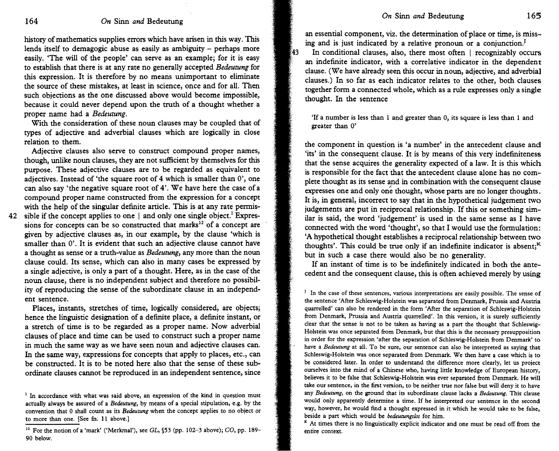history of mathematics supplies errors which have arisen in this way. This lends itself to demagogic abuse as easily as ambiguity - perhaps more easily. 'The will of the people' can serve as an example; for it is easy to establish that there is at any rate no generally accepted Bedeutung for this expression. It is therefore by no means unimportant to eliminate the source of these mistakes, at least in science, once and for all. Then such objections as the one discussed above would become impossible, because it could never depend upon the truth of a thought whether a proper name had a Bedeutung.

With the consideration of these noun clauses may be coupled that of types of adjective and adverbial clauses which are logically in close relation to them.

Adjective clauses also serve to construct compound proper names, though, unlike noun clauses, they are not sufficient by themselves for this purpose. These adjective clauses are to be regarded as equivalent to adjectives. Instead of 'the square root of 4 which is smaller than O', one can also say 'the negative square root of 4'. We have here the case of a compound proper name constructed from the expression for a concept with the help of the singular definite article. This is at any rate permis-

42 sible if the concept applies to one  $\parallel$  and only one single object.<sup>I</sup> Expressions for concepts can be so constructed that marks $^{12}$  of a concept are given by adjective clauses as, in our example, by the clause 'which is smaller than 0'. It is evident that such an adjective clause cannot have a thought as sense or a truth-value as Bedeutung, any more than the noun clause could. Its sense, which can also in many cases be expressed by a single adjective, is only a part of a thought. Here, as in the case of the noun clause, there is no independent subject and therefore no possibility of reproducing the sense of the subordinate clause in an independent sentence.

Places, instants, stretches of time, logically considered, are objects; hence the linguistic designation of a definite place, a definite instant, or a stretch of time is to be regarded as a proper name. Now adverbial clauses of place and time can be used to construct such a proper name in much the same way as we have seen noun and adjective clauses can. In the same way, expressions for concepts that apply to places, etc., can be constructed. It is to be noted here also that the sense of these subordinate clauses cannot be reproduced in an independent sentence, since

<sup>1</sup> In accordance with what was said above, an expression of the kind in question must actually always be assured of a *Bedeutung,* by means of a special stipulation, e.g. by the convention that 0 shall count as its *Bedeurung* when the concept applies to no object or to more than one. [See **fn.** 11 above.]

'' For the notion of a 'mark' ('Merkmal'), see GL, **953** (pp. 102-3 above); CO, pp. **189-**  90 below.

an essential component, viz. the determination of place or time, is missing and is just indicated by a relative pronoun or a conjunction.<sup> $J$ </sup>

43

In conditional clauses, also, there most often  $\parallel$  recognizably occurs an indefinite indicator, with a correlative indicator in the dependent clause. (We have already seen this occur in noun, adjective, and adverbial clauses.) In so far as each indicator relates to the other, both clauses together form a connected whole, which as a rule expresses only a single thought. In the sentence

'If a number is less than 1 and greater than 0, its square is less than 1 and greater than 0'

the component in question is 'a number' in the antecedent clause and 'its' in the consequent clause. It is by means of this very indefiniteness that the sense acquires the generality expected of a law. It is this which is responsible for the fact that the antecedent clause alone has no complete thought as its sense and in combination with the consequent clause expresses one and only one thought, whose parts are no longer thoughts. It is, in general, incorrect to say that in the hypothetical judgement **two**  judgements are put in reciprocal relationship. If this or something similar is said, the word 'judgement' is used in the same sense as I have connected with the word 'thought', so that I would use the formulation: 'A hypothetical thought establishes a reciprocal relationship between **two**  thoughts'. This could be true only if an indefinite indicator is absent; $<sup>K</sup>$ </sup> but in such a case there would also be no generality.

If an instant of time is to be indefinitely indicated in both the antecedent and the consequent clause, this is often achieved merely by using

<sup>J</sup> In the case of these sentences, various interpretations are easily possible. The sense of the sentence 'After Schleswig-Holstein was separated from Denmark, Prussia and Austria quarrelled' can also be rendered in the form 'After the separation of Schleswig-Holstein from Denmark, Prussia and Austria quarrelled'. In this version, it is surely sufficiently clear that the sense is not to be taken as having as a part the thought that Schleswig-Holstein was once separated from Denmark, but that this is the necessary presupposition in order for the expression 'after the separation of Schleswig-Holstein from Denmark' to have a *Bedeutung* at all. To be sure, our sentence can also be interpreted as saying that Schleswig-Holstein was once separated from Denmark. We then have a case which is to be considered later. In order to understand the difference more clearly, let us project ourselves into the mind of a Chinese who, having little knowledge of European history, believes it to be false that Schleswig-Holstein was ever separated from Denmark. He will take our sentence, in the first version, to be neither true nor false but will deny it to have any *Bedeurung,* on the ground that its subordinate clause lacks a *Bedeutung.* This clause would only apparently determine a time. If he interpreted our sentence in the second way, however, he would find a thought expressed in it which he would take to be false, beside a part which would be *bedeutungslos* for him.

 $<sup>K</sup>$  At times there is no linguistically explicit indicator and one must be read off from the</sup> entire context.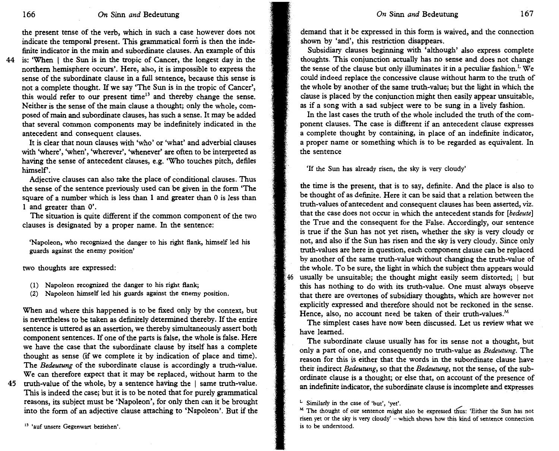the present tense of the verb, which in such a case however does not indicate the temporal present. This grammatical form is then the indefinite indicator in the main and subordinate clauses. An example of this

- 
- 44 is: 'When ( the Sun is in the tropic of Cancer, the longest day in the northern hemisphere occurs'. Here, also, it is impossible to express the sense of the subordinate clause in a full sentence, because this sense is not a complete thought. If we say 'The Sun is in the tropic of Cancer', this would refer to our present time<sup>13</sup> and thereby change the sense. Neither is the sense of the main clause a thought; only the whole, composed of main and subordinate clauses, has such a sense. It may be added that several common components may be indefinitely indicated in the antecedent and consequent clauses.

It is clear that noun clauses with 'who' or 'what' and adverbial clauses with 'where', 'when', 'wherever', 'whenever' are often to be interpreted as having the sense of antecedent clauses, e.g. 'Who touches pitch, defiles himself.

Adjective clauses can also take the place of conditional clauses. **Thus**  the sense of the sentence previously used can be given in the form 'The square of a number which is less than 1 and greater than 0 is less than 1 and greater than 0'.

The situation is quite different if the common component of the two clauses is designated by a proper name. In the sentence:

**'Napoleon, who recognized the danger to his right flank, himself led his guards against the enemy position'** 

two thoughts are expressed:

- **(1) Napoleon recognized the danger to his right flank;**
- **(2) Napoleon himself led his guards against the enemy position.**

When and where this happened is to be fixed only by the context, but is nevertheless to be taken as definitely determined thereby. If the entire sentence is uttered as an assertion, we thereby simultaneously assert both component sentences. If one of the parts is false, the whole is false. Here we have the case that the subordinate clause by itself has a complete thought as sense (if we complete it by indication of place and time). The Bedeutung of the subordinate clause is accordingly a truth-value. We can therefore expect that it may be replaced, without harm to the

45 truth-value of the whole, by a sentence having the | same truth-value. This is indeed the case; but it is to be noted that for purely grammatical reasons, its subject must be 'Napoleon', for only then can it be brought into the form of an adjective clause attaching to 'Napoleon'. But if the

**l3 'auf unsere Gegenwart beziehen'.** 

demand that it be expressed in this form is waived, and the connection shown by 'and', this restriction disappears.

Subsidiary clauses beginning with 'although' also express complete thoughts. This conjunction actually has no sense and does not change the sense of the clause but only illuminates it in a peculiar fashion.<sup>L</sup> We could indeed replace the concessive clause without harm to the truth of the whole by another of the same truth-value; but the light in which the clause is placed by the conjunction might then easily appear unsuitable, as if a song with a sad subject were to be sung in a lively fashion.

In the last cases the truth of the whole included the truth of the component clauses. The case is different if an antecedent clause expresses a complete thought by containing, in place of an indefinite indicator, **a** proper name or something which is to be regarded as equivalent. In the sentence

**'If the Sun has already risen, the sky is very cloudy'** 

the time is the present, that is to say, definite. And the place is also to be thought of as definite. Here it can be said that a relation between the truth-values of antecedent and consequent clauses has been asserted, viz. that the case does not occur in which the antecedent stands for [bedeute] the True and the consequent for the False. Accordingly, our sentence is true if the Sun has not yet risen, whether the sky is very cloudy or not, and also if the Sun has risen and the sky is very cloudy, Since only truth-values are here in question, each component clause can be replaced by another of the same truth-value without changing the truth-value of the whole. To be sure, the light in which the subject then appears would 46 usually be unsuitable; the thought might easily seem distorted; I but this has nothing to do with its truth-value. One must always observe that there are overtones of subsidiary thoughts, which are however not explicitly expressed and therefore should not be reckoned in the sense. Hence, also, no account need be taken of their truth-values.<sup> $M$ </sup>

The simplest cases have now been discussed. Let us review what we have learned.

The subordinate clause usually has for its sense not a thought, but only a part of one, and consequently no truth-value as Bedeutung. The reason for this is either that the words in the subordinate clause have their indirect Bedeutung, so that the Bedeutung, not the sense, of the subordinate clause is a thought; or else that, on account of the presence of an indefinite indicator, the subordinate clause is incomplete and expresses

**Similarly in the case of 'but', 'yet'.** 

<sup>&</sup>lt;sup>M</sup> The thought of our sentence might also be expressed thus: 'Either the Sun has not risen yet or the sky is very cloudy' - which shows how this kind of sentence connection **is to be understood.**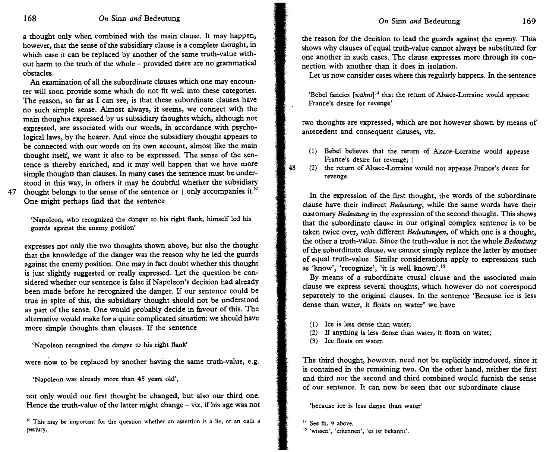a thought only when combined with the main clause. It may happen, however, that the sense of the subsidiary clause is a complete thought, in which case it can be replaced by another of the same truth-value without harm to the truth of the whole - provided there are no grammatical obstacles.

An examination of all the subordinate clauses which one may encounter will soon provide some which do not fit well into these categories. The reason, so far as I can see, is that these subordinate clauses have no such simple sense. Almost always, it seems, we connect with the main thoughts expressed by us subsidiary thoughts which, although not expressed, are associated with our words, in accordance with psychological laws, by the hearer. And since the subsidiary thought appears to be connected with our words on its own account, almost like the main thought itself, we want it also to be expressed. The sense of the sentence is thereby enriched, and it may well happen that we have more simple thoughts than clauses. In many cases the sentence must be understood in this way, in others it may be doubtful whether the subsidiary 47 **thought belongs to the sense of the sentence or**  $\vert$  **only accompanies it.<sup>N</sup>** One might perhaps find that the sentence

**'Napoleon, who recognized the danger to his right flank, himself led his guards against the enemy position'** 

expresses not only the two thoughts shown above, but also the thought that the knowledge of the danger was the reason why he led the guards against the enemy position. One may in fact doubt whether this thought is just slightly suggested or really expressed. Let the question be considered whether our sentence is false if Napoleon's decision had already been made before he recognized the danger. If our sentence could be true in spite of this, the subsidiary thought should not be understood as part of the sense. One would probably decide in favour of this. The alternative would make for a quite complicated situation: we should have more simple thoughts than clauses. If the sentence

**'Napoleon recognized the danger to his right flank'** 

were now to be replaced by another having the same truth-value, e.g.

**'Napoleon was already more than 45 years old',** 

not only would our first thought be changed, but also our third one. Hence the truth-value of the latter might change - viz. if his age was not

**This may be important for the question whether an assertion is a lie, or an oath a**  periuru.

the reason for the decision to lead the guards against the enemy. This shows why clauses of equal truth-value cannot always be substituted for one another in such cases. The clause expresses more through its connection with another than it does in isolation.

Let us now consider cases where this regularly happens. In the sentence

**'Bebel fancies** *[wahnt]* **l4 that the return of Alsace-Lorraine would appease France's desire for revenge'** 

two thoughts are expressed, which are not however shown by means of antecedent and consequent clauses, viz.

**(1) Bebel believes that the return of Alsace-Lorraine would appease France's desire for revenge;** <sup>1</sup>

**48 (2) the return of Alsace-Lorraine would not appease France's desire for revenge.** 

In the expression of the first thought, the words of the subordinate clause have their indirect Bedeutung, whiie the same words have their customary Bedeutung in the expression of the second thought. This shows that the subordinate clause in our original complex sentence is to be taken twice over, with different Bedeutungen, of which one is a thought, the other a truth-value. Since the truth-value is not the whole Bedeutung of the subordinate clause, we cannot simply replace the latter by another of equal truth-value. Similar considerations apply to expressions such as 'know', 'recognize', 'it is well known'.<sup>15</sup>

By means of a subordinate causal clause and the associated main clause we express several thoughts, which however do not correspond separately to the original clauses. In the sentence 'Because ice is less dense than water, it floats on water' we have

- **(1) Ice is less dense than water;**
- **(2) If anything is less dense than water, it floats on water;**
- **(3) Ice floats on water.**

The third thought, however, need not be explicitly introduced, since it is contained in the remaining two. On the other hand, neither the first and third nor the second and third combined would furnish the sense of our sentence. It can now be seen that our subordinate clause

**'because ice is less dense than water'** 

**l4 See** h. **9 above.** 

**l5 'wissen', 'erkennen', 'es ist bekannt'.**